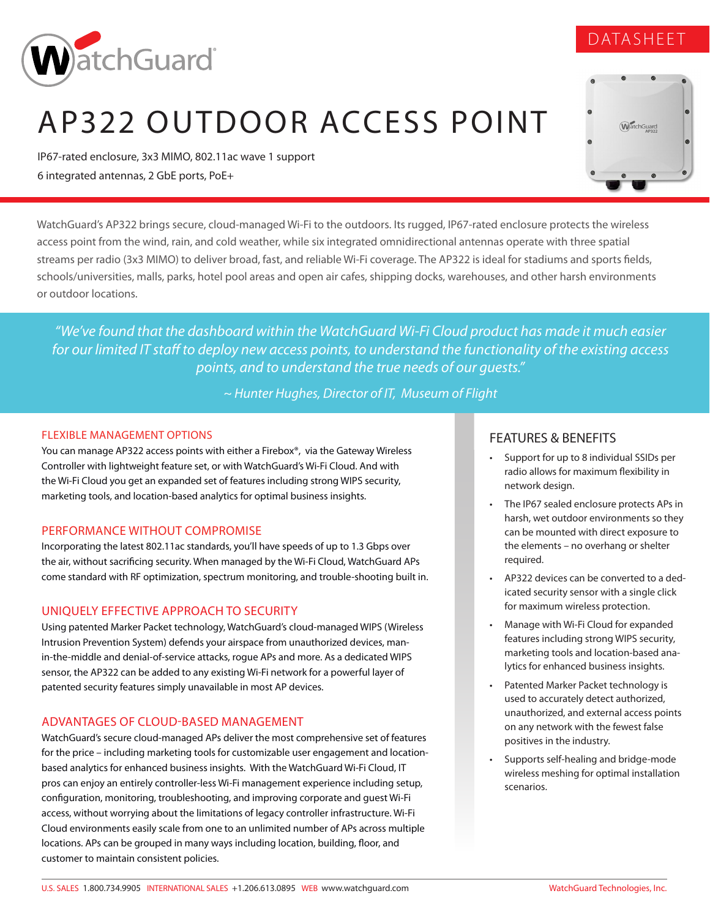

# AP322 OUTDOOR ACCESS POINT

IP67-rated enclosure, 3x3 MIMO, 802.11ac wave 1 support 6 integrated antennas, 2 GbE ports, PoE+



*"We've found that the dashboard within the WatchGuard Wi-Fi Cloud product has made it much easier for our limited IT staff to deploy new access points, to understand the functionality of the existing access points, and to understand the true needs of our guests."* 

*~ Hunter Hughes, Director of IT, Museum of Flight* 

#### FLEXIBLE MANAGEMENT OPTIONS

You can manage AP322 access points with either a Firebox®, via the Gateway Wireless Controller with lightweight feature set, or with WatchGuard's Wi-Fi Cloud. And with the Wi-Fi Cloud you get an expanded set of features including strong WIPS security, marketing tools, and location-based analytics for optimal business insights.

#### PERFORMANCE WITHOUT COMPROMISE

Incorporating the latest 802.11ac standards, you'll have speeds of up to 1.3 Gbps over the air, without sacrificing security. When managed by the Wi-Fi Cloud, WatchGuard APs come standard with RF optimization, spectrum monitoring, and trouble-shooting built in.

#### UNIQUELY EFFECTIVE APPROACH TO SECURITY

Using patented Marker Packet technology, WatchGuard's cloud-managed WIPS (Wireless Intrusion Prevention System) defends your airspace from unauthorized devices, manin-the-middle and denial-of-service attacks, rogue APs and more. As a dedicated WIPS sensor, the AP322 can be added to any existing Wi-Fi network for a powerful layer of patented security features simply unavailable in most AP devices.

#### ADVANTAGES OF CLOUD-BASED MANAGEMENT

WatchGuard's secure cloud-managed APs deliver the most comprehensive set of features for the price – including marketing tools for customizable user engagement and locationbased analytics for enhanced business insights. With the WatchGuard Wi-Fi Cloud, IT pros can enjoy an entirely controller-less Wi-Fi management experience including setup, configuration, monitoring, troubleshooting, and improving corporate and guest Wi-Fi access, without worrying about the limitations of legacy controller infrastructure. Wi-Fi Cloud environments easily scale from one to an unlimited number of APs across multiple locations. APs can be grouped in many ways including location, building, floor, and customer to maintain consistent policies.

#### FEATURES & BENEFITS

- Support for up to 8 individual SSIDs per radio allows for maximum flexibility in network design.
- The IP67 sealed enclosure protects APs in harsh, wet outdoor environments so they can be mounted with direct exposure to the elements – no overhang or shelter required.
- AP322 devices can be converted to a dedicated security sensor with a single click for maximum wireless protection.
- Manage with Wi-Fi Cloud for expanded features including strong WIPS security, marketing tools and location-based analytics for enhanced business insights.
- Patented Marker Packet technology is used to accurately detect authorized, unauthorized, and external access points on any network with the fewest false positives in the industry.
- Supports self-healing and bridge-mode wireless meshing for optimal installation scenarios.



WatchGuard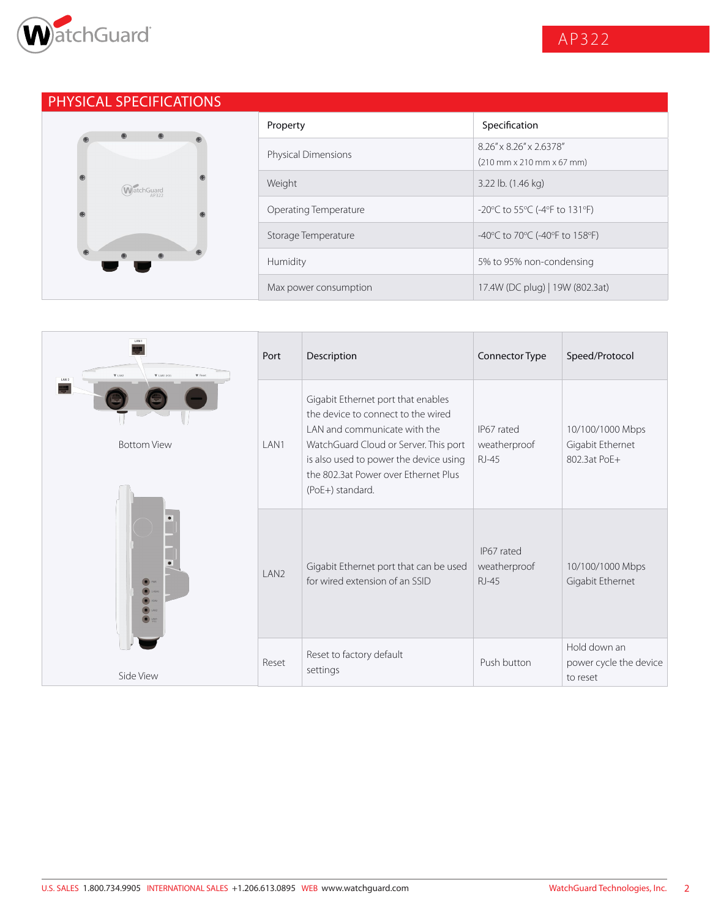

# PHYSICAL SPECIFICATIONS



| Property                   | Specification                                                                            |
|----------------------------|------------------------------------------------------------------------------------------|
| <b>Physical Dimensions</b> | 8 26" x 8 26" x 2 6378"<br>$(210 \text{ mm} \times 210 \text{ mm} \times 67 \text{ mm})$ |
| Weight                     | 3.22 lb. (1.46 kg)                                                                       |
| Operating Temperature      | -20 $\degree$ C to 55 $\degree$ C (-4 $\degree$ F to 131 $\degree$ F)                    |
| Storage Temperature        | -40°C to 70°C (-40°F to 158°F)                                                           |
| Humidity                   | 5% to 95% non-condensing                                                                 |
| Max power consumption      | 17.4W (DC plug)   19W (802.3at)                                                          |

| LAN1<br>$\Psi$ LAN2<br><b>V</b> LANT (FOR)<br><b>W</b> Reset<br>LAN <sub>2</sub> | Port              | Description                                                                                                                                                                                                                                             | Connector Type                             | Speed/Protocol                                       |
|----------------------------------------------------------------------------------|-------------------|---------------------------------------------------------------------------------------------------------------------------------------------------------------------------------------------------------------------------------------------------------|--------------------------------------------|------------------------------------------------------|
| <b>Bottom View</b>                                                               | LAN1              | Gigabit Ethernet port that enables<br>the device to connect to the wired<br>LAN and communicate with the<br>WatchGuard Cloud or Server. This port<br>is also used to power the device using<br>the 802.3at Power over Ethernet Plus<br>(PoE+) standard. | IP67 rated<br>weatherproof<br><b>RJ-45</b> | 10/100/1000 Mbps<br>Gigabit Ethernet<br>802.3at PoF+ |
| $\bullet$ PWR                                                                    | I AN <sub>2</sub> | Gigabit Ethernet port that can be used<br>for wired extension of an SSID                                                                                                                                                                                | IP67 rated<br>weatherproof<br>$RJ-45$      | 10/100/1000 Mbps<br>Gigabit Ethernet                 |
| Side View                                                                        | Reset             | Reset to factory default<br>settings                                                                                                                                                                                                                    | Push button                                | Hold down an<br>power cycle the device<br>to reset   |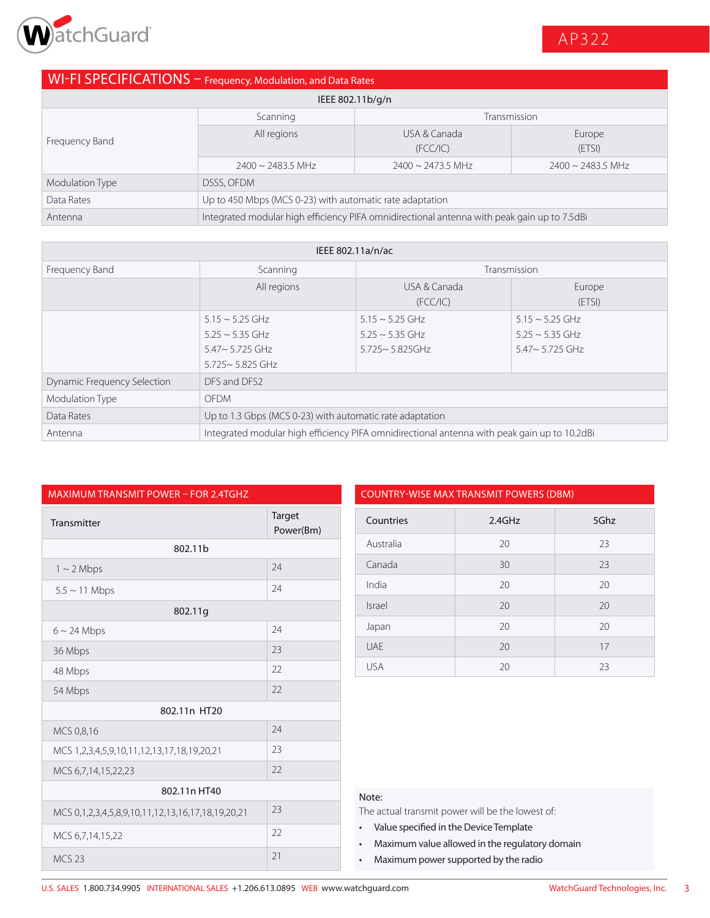

# WI-FI SPECIFICATIONS – Frequency, Modulation, and Data Rates

| IEEE 802.11b/g/n |                                                                                             |                           |                        |
|------------------|---------------------------------------------------------------------------------------------|---------------------------|------------------------|
|                  | Scanning                                                                                    | Transmission              |                        |
| Frequency Band   | All regions                                                                                 | USA & Canada<br>(FCC/IC)  | Europe<br>(ETSI)       |
|                  | $2400 \sim 2483.5$ MHz                                                                      | $2400 \approx 2473.5$ MHz | $2400 \sim 2483.5$ MHz |
| Modulation Type  | DSSS, OFDM                                                                                  |                           |                        |
| Data Rates       | Up to 450 Mbps (MCS 0-23) with automatic rate adaptation                                    |                           |                        |
| Antenna          | Integrated modular high efficiency PIFA omnidirectional antenna with peak gain up to 7.5dBi |                           |                        |

| IEEE 802.11a/n/ac                  |                                                                                                 |                                                                     |                                                                       |
|------------------------------------|-------------------------------------------------------------------------------------------------|---------------------------------------------------------------------|-----------------------------------------------------------------------|
| Frequency Band                     | Scanning                                                                                        |                                                                     | Transmission                                                          |
|                                    | All regions                                                                                     | USA & Canada<br>(FCC/IC)                                            | Europe<br>(ETSI)                                                      |
|                                    | $5.15 \sim 5.25$ GHz<br>$5.25 \sim 5.35$ GHz<br>$5.47 \sim 5.725$ GHz<br>$5.725 \sim 5.825$ GHz | $5.15 \sim 5.25$ GHz<br>$5.25 \sim 5.35$ GHz<br>$5.725 - 5.825$ GHz | $5.15 \sim 5.25$ GHz<br>$5.25 \sim 5.35$ GHz<br>$5.47 \sim 5.725$ GHz |
| <b>Dynamic Frequency Selection</b> | DFS and DFS2                                                                                    |                                                                     |                                                                       |
| Modulation Type                    | <b>OFDM</b>                                                                                     |                                                                     |                                                                       |
| Data Rates                         | Up to 1.3 Gbps (MCS 0-23) with automatic rate adaptation                                        |                                                                     |                                                                       |
| Antenna                            | Integrated modular high efficiency PIFA omnidirectional antenna with peak gain up to 10.2dBi    |                                                                     |                                                                       |

| <b>MAXIMUM TRANSMIT POWER - FOR 2.4TGHZ</b>                        |                     |                                                                                                                                                                                                                           | <b>COUNTRY-WISE MAX TRANSMIT POWERS (DBM)</b> |  |
|--------------------------------------------------------------------|---------------------|---------------------------------------------------------------------------------------------------------------------------------------------------------------------------------------------------------------------------|-----------------------------------------------|--|
| Transmitter                                                        | Target<br>Power(Bm) | Countries                                                                                                                                                                                                                 | 2.4GHz                                        |  |
| 802.11b                                                            |                     | Australia                                                                                                                                                                                                                 | 20                                            |  |
| $1 \sim 2$ Mbps                                                    | 24                  | Canada                                                                                                                                                                                                                    | 30                                            |  |
| $5.5 \sim 11$ Mbps                                                 | 24                  | India                                                                                                                                                                                                                     | 20                                            |  |
| 802.11g                                                            |                     | <b>Israel</b>                                                                                                                                                                                                             | 20                                            |  |
| $6 \sim 24$ Mbps                                                   | 24                  | Japan                                                                                                                                                                                                                     | 20                                            |  |
| 36 Mbps                                                            | 23                  | <b>UAE</b>                                                                                                                                                                                                                | 20                                            |  |
| 48 Mbps                                                            | 22                  | <b>USA</b>                                                                                                                                                                                                                | 20                                            |  |
| 54 Mbps                                                            | 22                  |                                                                                                                                                                                                                           |                                               |  |
| 802.11n HT20                                                       |                     |                                                                                                                                                                                                                           |                                               |  |
| MCS 0,8,16                                                         | 24                  |                                                                                                                                                                                                                           |                                               |  |
| MCS 1, 2, 3, 4, 5, 9, 10, 11, 12, 13, 17, 18, 19, 20, 21           | 23                  |                                                                                                                                                                                                                           |                                               |  |
| MCS 6,7,14,15,22,23                                                | 22                  |                                                                                                                                                                                                                           |                                               |  |
| 802.11n HT40                                                       |                     | Note:                                                                                                                                                                                                                     |                                               |  |
| MCS 0, 1, 2, 3, 4, 5, 8, 9, 10, 11, 12, 13, 16, 17, 18, 19, 20, 21 | 23                  | The actual transmit power will be the lowest of:<br>Value specified in the Device Template<br>$\bullet$<br>Maximum value allowed in the regulatory doma<br>$\bullet$<br>Maximum power supported by the radio<br>$\bullet$ |                                               |  |
| MCS 6,7,14,15,22                                                   | 22                  |                                                                                                                                                                                                                           |                                               |  |
| <b>MCS 23</b>                                                      | 21                  |                                                                                                                                                                                                                           |                                               |  |

| <b>COUNTRY-WISE MAX TRANSMIT POWERS (DBM)</b> |        |      |
|-----------------------------------------------|--------|------|
| Countries                                     | 2.4GHz | 5Ghz |
| Australia                                     | 20     | 23   |
| Canada                                        | 30     | 23   |
| India                                         | 20     | 20   |
| Israel                                        | 20     | 20   |
| Japan                                         | 20     | 20   |
| UAF                                           | 20     | 17   |
| <b>USA</b>                                    | 20     | 23   |

#### Note:

- Value specified in the Device Template
- Maximum value allowed in the regulatory domain
- Maximum power supported by the radio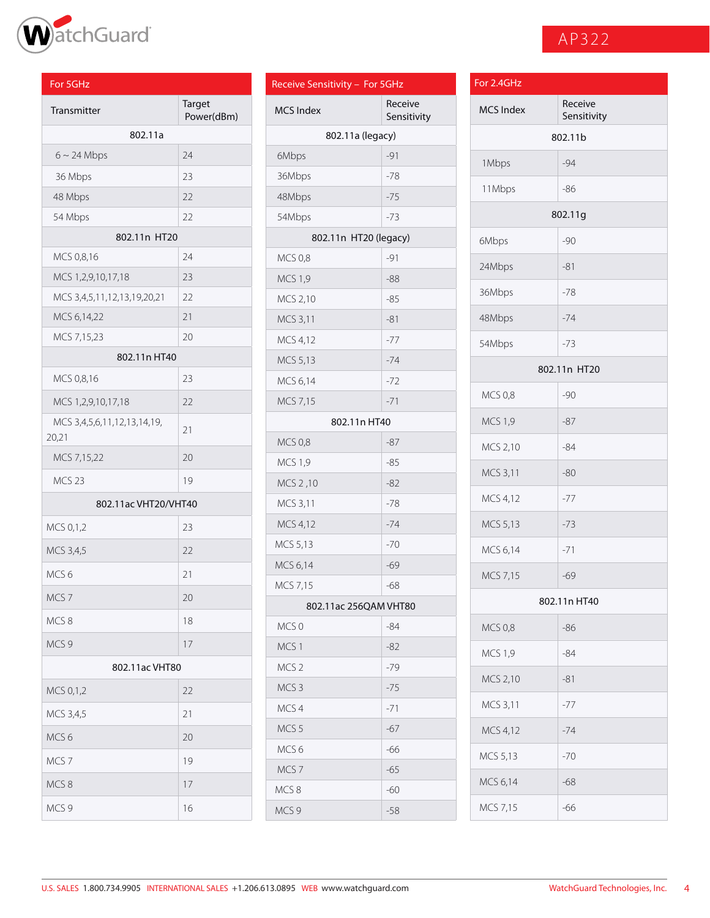

# AP322

| For 5GHz                             |                      | Receive Sensitivity - For 5GHz |                                | For 2.4GHz     |
|--------------------------------------|----------------------|--------------------------------|--------------------------------|----------------|
| Transmitter                          | Target<br>Power(dBm) | <b>MCS Index</b>               | Receive<br>Sensitivity         | MCS Inde:      |
| 802.11a                              |                      |                                | 802.11a (legacy)               |                |
| $6 \sim 24$ Mbps                     | 24                   | 6Mbps                          | $-91$                          | 1Mbps          |
| 36 Mbps                              | 23                   | 36Mbps                         | $-78$                          |                |
| 48 Mbps                              | 22                   | 48Mbps                         | $-75$                          | 11Mbps         |
| 54 Mbps                              | 22                   | 54Mbps                         | $-73$                          |                |
| 802.11n HT20                         |                      |                                | 802.11n HT20 (legacy)          | 6Mbps          |
| MCS 0,8,16                           | 24                   | <b>MCS 0,8</b>                 | $-91$                          | 24Mbps         |
| MCS 1,2,9,10,17,18                   | 23                   | <b>MCS 1,9</b>                 | $-88$                          |                |
| MCS 3,4,5,11,12,13,19,20,21          | 22                   | MCS 2,10                       | $-85$                          | 36Mbps         |
| MCS 6,14,22                          | 21                   | MCS 3,11                       | $-81$                          | 48Mbps         |
| MCS 7,15,23                          | 20                   | MCS 4,12                       | $-77$                          | 54Mbps         |
| 802.11n HT40                         |                      | MCS 5,13                       | $-74$                          |                |
| MCS 0,8,16                           | 23                   | MCS 6,14                       | $-72$                          |                |
| MCS 1,2,9,10,17,18                   | 22                   | MCS 7,15                       | $-71$                          | <b>MCS 0,8</b> |
| MCS 3,4,5,6,11,12,13,14,19,<br>20,21 | 21                   |                                | 802.11n HT40                   | <b>MCS 1,9</b> |
| MCS 7,15,22                          | 20                   | <b>MCS 0,8</b>                 | $-87$                          | MCS 2,10       |
| MCS <sub>23</sub>                    | 19                   | <b>MCS 1,9</b>                 | $-85$                          | MCS 3,11       |
|                                      |                      | MCS 2,10                       | $-82$                          | MCS 4,12       |
| 802.11ac VHT20/VHT40                 |                      | MCS 3,11                       | $-78$                          |                |
| MCS 0,1,2                            | 23                   | MCS 4,12                       | $-74$                          | MCS 5,13       |
| MCS 3,4,5                            | 22                   | MCS 5,13                       | $-70$                          | MCS 6,14       |
| MCS <sub>6</sub>                     | 21                   | MCS 6,14                       | $-69$                          | MCS 7,15       |
| MCS <sub>7</sub>                     | 20                   | MCS 7,15                       | $-68$                          |                |
| MCS8                                 | 18                   | MCS 0                          | 802.11ac 256QAM VHT80<br>$-84$ |                |
| MCS <sub>9</sub>                     | 17                   |                                |                                | <b>MCS 0,8</b> |
| 802.11ac VHT80                       |                      | MCS 1<br>MCS <sub>2</sub>      | $-82$<br>$-79$                 | <b>MCS 1,9</b> |
|                                      |                      | MCS <sub>3</sub>               | $-75$                          | MCS 2,10       |
| MCS 0,1,2                            | 22                   | MCS 4                          | $-71$                          | MCS 3,11       |
| MCS 3,4,5                            | 21                   | MCS <sub>5</sub>               | $-67$                          | MCS 4,12       |
| MCS <sub>6</sub>                     | 20                   | MCS <sub>6</sub>               | $-66$                          |                |
| MCS <sub>7</sub>                     | 19                   | MCS <sub>7</sub>               | $-65$                          | MCS 5,13       |
| MCS8                                 | 17                   | MCS8                           | $-60$                          | MCS 6,14       |
| MCS 9                                | $16$                 | MCS <sub>9</sub>               | $-58$                          | MCS 7,15       |

| Receive Sensitivity - For 5GHz |                        |
|--------------------------------|------------------------|
| <b>MCS Index</b>               | Receive<br>Sensitivity |
| 802.11a (legacy)               |                        |
| 6Mbps                          | -91                    |
| 36Mbps                         | $-78$                  |
| 48Mbps                         | $-75$                  |
| 54Mbps                         | $-73$                  |
| 802.11n HT20 (legacy)          |                        |
| <b>MCS 0,8</b>                 | $-91$                  |
| <b>MCS 1,9</b>                 | -88                    |
| MCS 2,10                       | $-85$                  |
| MCS 3,11                       | $-81$                  |
| MCS 4,12                       | $-77$                  |
| MCS 5,13                       | $-74$                  |
| MCS 6,14                       | $-72$                  |
| MCS 7,15                       | $-71$                  |
| 802.11n HT40                   |                        |
| <b>MCS 0,8</b>                 | $-87$                  |
| <b>MCS 1,9</b>                 | $-85$                  |
| MCS 2,10                       | $-82$                  |
| MCS 3,11                       | $-78$                  |
| MCS 4,12                       | $-74$                  |
| MCS 5,13                       | $-70$                  |
| MCS 6,14                       | $-69$                  |
| MCS 7,15                       | -68                    |
| 802.11ac 256QAM VHT80          |                        |
| MCS <sub>0</sub>               | -84                    |
| MCS <sub>1</sub>               | $-82$                  |
| MCS <sub>2</sub>               | -79                    |
| MCS <sub>3</sub>               | -75                    |
| MCS <sub>4</sub>               | $-71$                  |
| MCS <sub>5</sub>               | -67                    |
| MCS <sub>6</sub>               | -66                    |
| MCS <sub>7</sub>               | $-65$                  |
| MCS8                           | -60                    |
| MCS <sub>9</sub>               | $-58$                  |

| For 2.4GHz       |                        |  |
|------------------|------------------------|--|
| <b>MCS Index</b> | Receive<br>Sensitivity |  |
|                  | 802.11b                |  |
| 1Mbps            | $-94$                  |  |
| 11Mbps           | -86                    |  |
|                  | 802.11g                |  |
| 6Mbps            | $-90$                  |  |
| 24Mbps           | $-81$                  |  |
| 36Mbps           | $-78$                  |  |
| 48Mbps           | $-74$                  |  |
| 54Mbps           | $-73$                  |  |
| 802.11n HT20     |                        |  |
| <b>MCS 0,8</b>   | -90                    |  |
| <b>MCS 1,9</b>   | $-87$                  |  |
| MCS 2,10         | $-84$                  |  |
| MCS 3,11         | $-80$                  |  |
| MCS 4,12         | $-77$                  |  |
| MCS 5,13         | $-73$                  |  |
| MCS 6,14         | $-71$                  |  |
| MCS 7,15         | $-69$                  |  |
|                  | 802.11n HT40           |  |
| <b>MCS 0,8</b>   | $-86$                  |  |
| <b>MCS 1,9</b>   | -84                    |  |
| MCS 2,10         | $-81$                  |  |
| MCS 3,11         | $-77$                  |  |
| MCS 4,12         | $-74$                  |  |
| MCS 5,13         | $-70$                  |  |
| MCS 6,14         | $-68$                  |  |
| MCS 7,15         | $-66$                  |  |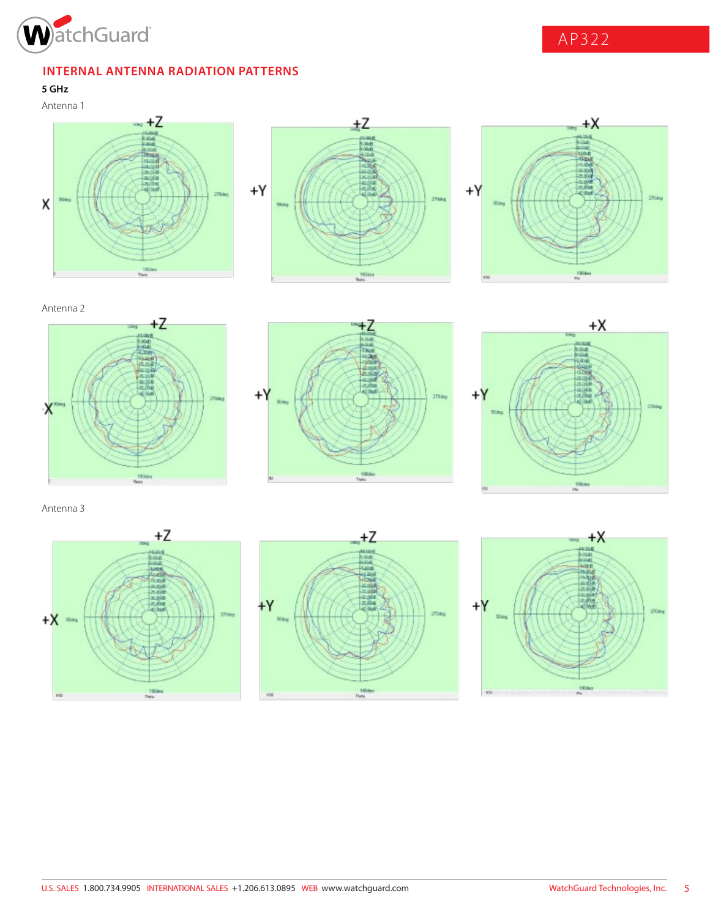

AP322

### **INTERNAL ANTENNA RADIATION PATTERNS**

**5 GHz**







Antenna 2







Antenna 3





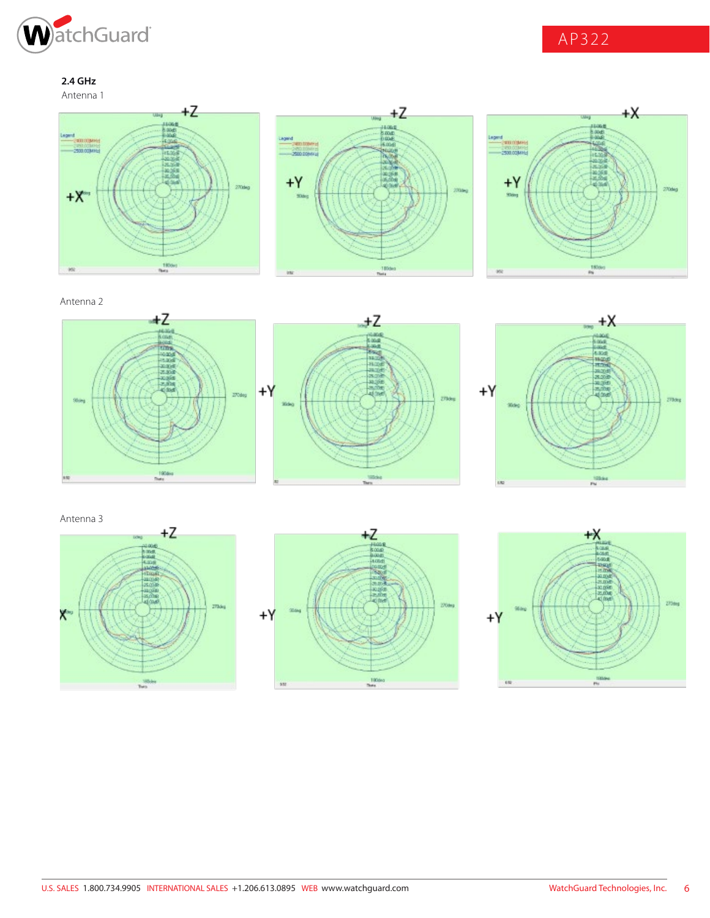

AP322

**2.4 GHz**









Antenna 2







Antenna 3